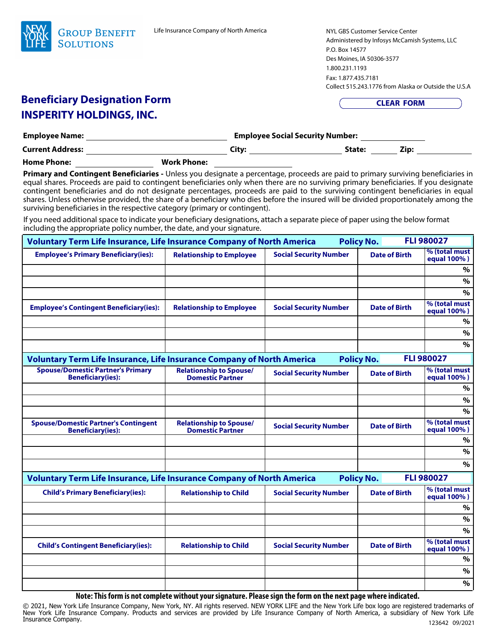

NYL GBS Customer Service Center Administered by Infosys McCamish Systems, LLC P.O. Box 14577 Des Moines, IA 50306-3577 1.800.231.1193 Fax: 1.877.435.7181 Collect 515.243.1776 from Alaska or Outside the U.S.A

**CLEAR FORM** 

## **Beneficiary Designation Form INSPERITY HOLDINGS, INC.**

| <b>Employee Name:</b>   |                    | <b>Employee Social Security Number:</b> |        |      |
|-------------------------|--------------------|-----------------------------------------|--------|------|
| <b>Current Address:</b> |                    | Citv:                                   | State: | Zip: |
| <b>Home Phone:</b>      | <b>Work Phone:</b> |                                         |        |      |

| <u>Dellelicial y Designation Form</u><br><b>INSPERITY HOLDINGS, INC.</b>                                                                                                                                                                                                                                                                                                                                                                                                                                                                                                                                                                                                                                                                                                                                                                        |                                                           | <b>CLEAR FORM</b>                                |                   |                      |                              |
|-------------------------------------------------------------------------------------------------------------------------------------------------------------------------------------------------------------------------------------------------------------------------------------------------------------------------------------------------------------------------------------------------------------------------------------------------------------------------------------------------------------------------------------------------------------------------------------------------------------------------------------------------------------------------------------------------------------------------------------------------------------------------------------------------------------------------------------------------|-----------------------------------------------------------|--------------------------------------------------|-------------------|----------------------|------------------------------|
|                                                                                                                                                                                                                                                                                                                                                                                                                                                                                                                                                                                                                                                                                                                                                                                                                                                 |                                                           | Employee Social Security Number: _______________ |                   |                      |                              |
|                                                                                                                                                                                                                                                                                                                                                                                                                                                                                                                                                                                                                                                                                                                                                                                                                                                 |                                                           |                                                  |                   |                      |                              |
|                                                                                                                                                                                                                                                                                                                                                                                                                                                                                                                                                                                                                                                                                                                                                                                                                                                 |                                                           |                                                  |                   |                      |                              |
| Primary and Contingent Beneficiaries - Unless you designate a percentage, proceeds are paid to primary surviving beneficiaries in<br>equal shares. Proceeds are paid to contingent beneficiaries only when there are no surviving primary beneficiaries. If you designate<br>contingent beneficiaries and do not designate percentages, proceeds are paid to the surviving contingent beneficiaries in equal<br>shares. Unless otherwise provided, the share of a beneficiary who dies before the insured will be divided proportionately among the<br>surviving beneficiaries in the respective category (primary or contingent).<br>If you need additional space to indicate your beneficiary designations, attach a separate piece of paper using the below format<br>including the appropriate policy number, the date, and your signature. |                                                           |                                                  |                   |                      |                              |
| <b>Voluntary Term Life Insurance, Life Insurance Company of North America</b>                                                                                                                                                                                                                                                                                                                                                                                                                                                                                                                                                                                                                                                                                                                                                                   |                                                           |                                                  | <b>Policy No.</b> |                      | <b>FLI 980027</b>            |
| <b>Employee's Primary Beneficiary(ies):</b>                                                                                                                                                                                                                                                                                                                                                                                                                                                                                                                                                                                                                                                                                                                                                                                                     | <b>Relationship to Employee</b>                           | <b>Social Security Number</b>                    |                   | <b>Date of Birth</b> | % (total must<br>equal 100%) |
|                                                                                                                                                                                                                                                                                                                                                                                                                                                                                                                                                                                                                                                                                                                                                                                                                                                 |                                                           |                                                  |                   |                      | %                            |
|                                                                                                                                                                                                                                                                                                                                                                                                                                                                                                                                                                                                                                                                                                                                                                                                                                                 |                                                           |                                                  |                   |                      | %                            |
|                                                                                                                                                                                                                                                                                                                                                                                                                                                                                                                                                                                                                                                                                                                                                                                                                                                 |                                                           |                                                  |                   |                      | $\%$                         |
| <b>Employee's Contingent Beneficiary(ies):</b>                                                                                                                                                                                                                                                                                                                                                                                                                                                                                                                                                                                                                                                                                                                                                                                                  | <b>Relationship to Employee</b>                           | <b>Social Security Number</b>                    |                   | <b>Date of Birth</b> | % (total must<br>equal 100%) |
|                                                                                                                                                                                                                                                                                                                                                                                                                                                                                                                                                                                                                                                                                                                                                                                                                                                 |                                                           |                                                  |                   |                      | $\%$                         |
|                                                                                                                                                                                                                                                                                                                                                                                                                                                                                                                                                                                                                                                                                                                                                                                                                                                 |                                                           |                                                  |                   |                      | $\%$                         |
|                                                                                                                                                                                                                                                                                                                                                                                                                                                                                                                                                                                                                                                                                                                                                                                                                                                 |                                                           |                                                  |                   |                      | $\%$                         |
| <b>Voluntary Term Life Insurance, Life Insurance Company of North America</b>                                                                                                                                                                                                                                                                                                                                                                                                                                                                                                                                                                                                                                                                                                                                                                   |                                                           |                                                  | <b>Policy No.</b> |                      | <b>FLI 980027</b>            |
| <b>Spouse/Domestic Partner's Primary</b><br><b>Beneficiary(ies):</b>                                                                                                                                                                                                                                                                                                                                                                                                                                                                                                                                                                                                                                                                                                                                                                            | <b>Relationship to Spouse/</b><br><b>Domestic Partner</b> | <b>Social Security Number</b>                    |                   | <b>Date of Birth</b> | % (total must<br>equal 100%) |
|                                                                                                                                                                                                                                                                                                                                                                                                                                                                                                                                                                                                                                                                                                                                                                                                                                                 |                                                           |                                                  |                   |                      | $\%$                         |
|                                                                                                                                                                                                                                                                                                                                                                                                                                                                                                                                                                                                                                                                                                                                                                                                                                                 |                                                           |                                                  |                   |                      | $\%$                         |
|                                                                                                                                                                                                                                                                                                                                                                                                                                                                                                                                                                                                                                                                                                                                                                                                                                                 |                                                           |                                                  |                   |                      | $\%$                         |
| <b>Spouse/Domestic Partner's Contingent</b><br><b>Beneficiary(ies):</b>                                                                                                                                                                                                                                                                                                                                                                                                                                                                                                                                                                                                                                                                                                                                                                         | <b>Relationship to Spouse/</b><br><b>Domestic Partner</b> | <b>Social Security Number</b>                    |                   | <b>Date of Birth</b> | % (total must<br>equal 100%) |
|                                                                                                                                                                                                                                                                                                                                                                                                                                                                                                                                                                                                                                                                                                                                                                                                                                                 |                                                           |                                                  |                   |                      | %                            |
|                                                                                                                                                                                                                                                                                                                                                                                                                                                                                                                                                                                                                                                                                                                                                                                                                                                 |                                                           |                                                  |                   |                      | $\%$                         |
|                                                                                                                                                                                                                                                                                                                                                                                                                                                                                                                                                                                                                                                                                                                                                                                                                                                 |                                                           |                                                  |                   |                      | $\%$                         |
| Voluntary Term Life Insurance, Life Insurance Company of North America                                                                                                                                                                                                                                                                                                                                                                                                                                                                                                                                                                                                                                                                                                                                                                          |                                                           |                                                  | <b>Policy No.</b> |                      | <b>FLI 980027</b>            |
| <b>Child's Primary Beneficiary(ies):</b>                                                                                                                                                                                                                                                                                                                                                                                                                                                                                                                                                                                                                                                                                                                                                                                                        | <b>Relationship to Child</b>                              | <b>Social Security Number</b>                    |                   | <b>Date of Birth</b> | % (total must<br>equal 100%) |
|                                                                                                                                                                                                                                                                                                                                                                                                                                                                                                                                                                                                                                                                                                                                                                                                                                                 |                                                           |                                                  |                   |                      | $\%$                         |
|                                                                                                                                                                                                                                                                                                                                                                                                                                                                                                                                                                                                                                                                                                                                                                                                                                                 |                                                           |                                                  |                   |                      | $\%$                         |
|                                                                                                                                                                                                                                                                                                                                                                                                                                                                                                                                                                                                                                                                                                                                                                                                                                                 |                                                           |                                                  |                   |                      | $\%$                         |
| <b>Child's Contingent Beneficiary(ies):</b>                                                                                                                                                                                                                                                                                                                                                                                                                                                                                                                                                                                                                                                                                                                                                                                                     | <b>Relationship to Child</b>                              | <b>Social Security Number</b>                    |                   | <b>Date of Birth</b> | % (total must<br>equal 100%) |
|                                                                                                                                                                                                                                                                                                                                                                                                                                                                                                                                                                                                                                                                                                                                                                                                                                                 |                                                           |                                                  |                   |                      | %                            |
|                                                                                                                                                                                                                                                                                                                                                                                                                                                                                                                                                                                                                                                                                                                                                                                                                                                 |                                                           |                                                  |                   |                      | $\%$                         |
|                                                                                                                                                                                                                                                                                                                                                                                                                                                                                                                                                                                                                                                                                                                                                                                                                                                 |                                                           |                                                  |                   |                      | $\%$                         |

**Note: This form is not complete without your signature. Please sign the form on the next page where indicated.**

123642 09/2021 © 2021, New York Life Insurance Company, New York, NY. All rights reserved. NEW YORK LIFE and the New York Life box logo are registered trademarks of New York Life Insurance Company. Products and services are provided by Life Insurance Company of North America, a subsidiary of New York Life Insurance Company.